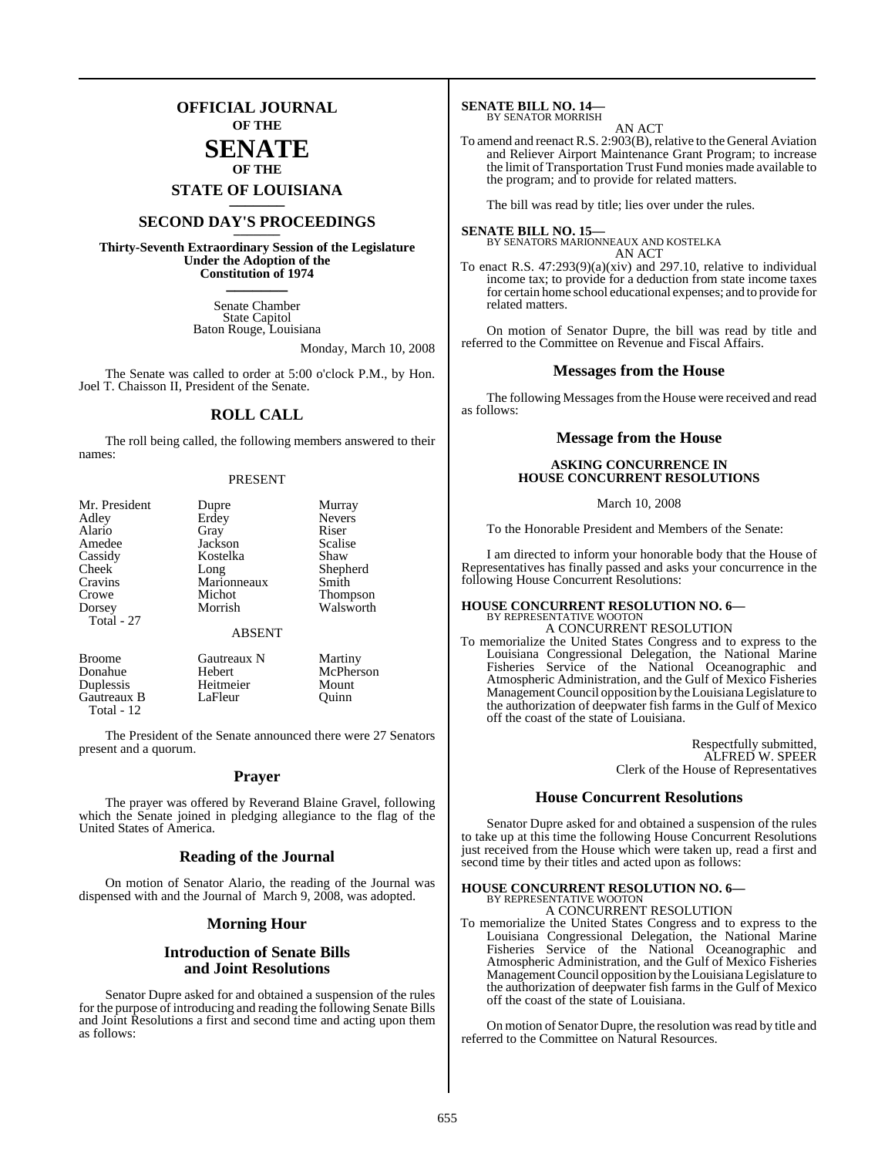## **OFFICIAL JOURNAL OF THE SENATE**

## **OF THE**

# **STATE OF LOUISIANA \_\_\_\_\_\_\_**

## **SECOND DAY'S PROCEEDINGS \_\_\_\_\_\_\_**

**Thirty-Seventh Extraordinary Session of the Legislature Under the Adoption of the Constitution of 1974 \_\_\_\_\_\_\_**

> Senate Chamber State Capitol Baton Rouge, Louisiana

> > Monday, March 10, 2008

The Senate was called to order at 5:00 o'clock P.M., by Hon. Joel T. Chaisson II, President of the Senate.

## **ROLL CALL**

The roll being called, the following members answered to their names:

### PRESENT

| Mr. President | Murray<br>Dupre        |                 |  |
|---------------|------------------------|-----------------|--|
| Adley         | Erdey<br><b>Nevers</b> |                 |  |
| Alario        | Gray                   | Riser           |  |
| Amedee        | Jackson                | Scalise         |  |
| Cassidy       | Kostelka               | Shaw            |  |
| Cheek         | Shepherd<br>Long       |                 |  |
| Cravins       | Marionneaux<br>Smith   |                 |  |
| Crowe         | Michot                 | <b>Thompson</b> |  |
| Dorsey        | Morrish                | Walsworth       |  |
| Total - 27    |                        |                 |  |
|               | <b>ABSENT</b>          |                 |  |
| <b>Broome</b> | Gautreaux N            | Martiny         |  |
| Donahue       | Hebert                 | McPherson       |  |

Duplessis Heitmeier Mount Gautreaux B LaFleur Quinn

Total - 12

The President of the Senate announced there were 27 Senators present and a quorum.

### **Prayer**

The prayer was offered by Reverand Blaine Gravel, following which the Senate joined in pledging allegiance to the flag of the United States of America.

### **Reading of the Journal**

On motion of Senator Alario, the reading of the Journal was dispensed with and the Journal of March 9, 2008, was adopted.

## **Morning Hour**

## **Introduction of Senate Bills and Joint Resolutions**

Senator Dupre asked for and obtained a suspension of the rules for the purpose of introducing and reading the following Senate Bills and Joint Resolutions a first and second time and acting upon them as follows:

#### **SENATE BILL NO. 14—** BY SENATOR MORRISH

### AN ACT

To amend and reenact R.S. 2:903(B), relative to the General Aviation and Reliever Airport Maintenance Grant Program; to increase the limit of Transportation Trust Fund monies made available to the program; and to provide for related matters.

The bill was read by title; lies over under the rules.

#### **SENATE BILL NO. 15—** BY SENATORS MARIONNEAUX AND KOSTELKA

AN ACT To enact R.S. 47:293(9)(a)(xiv) and 297.10, relative to individual income tax; to provide for a deduction from state income taxes for certain home school educational expenses; and to provide for related matters.

On motion of Senator Dupre, the bill was read by title and referred to the Committee on Revenue and Fiscal Affairs.

### **Messages from the House**

The following Messages from the House were received and read as follows:

### **Message from the House**

## **ASKING CONCURRENCE IN HOUSE CONCURRENT RESOLUTIONS**

### March 10, 2008

To the Honorable President and Members of the Senate:

I am directed to inform your honorable body that the House of Representatives has finally passed and asks your concurrence in the following House Concurrent Resolutions:

## **HOUSE CONCURRENT RESOLUTION NO. 6—** BY REPRESENTATIVE WOOTON

off the coast of the state of Louisiana.

A CONCURRENT RESOLUTION To memorialize the United States Congress and to express to the Louisiana Congressional Delegation, the National Marine Fisheries Service of the National Oceanographic and Atmospheric Administration, and the Gulf of Mexico Fisheries ManagementCouncil opposition by theLouisiana Legislature to the authorization of deepwater fish farms in the Gulf of Mexico

> Respectfully submitted, ALFRED W. SPEER Clerk of the House of Representatives

### **House Concurrent Resolutions**

Senator Dupre asked for and obtained a suspension of the rules to take up at this time the following House Concurrent Resolutions just received from the House which were taken up, read a first and second time by their titles and acted upon as follows:

## **HOUSE CONCURRENT RESOLUTION NO. 6—** BY REPRESENTATIVE WOOTON A CONCURRENT RESOLUTION

To memorialize the United States Congress and to express to the Louisiana Congressional Delegation, the National Marine Fisheries Service of the National Oceanographic and Atmospheric Administration, and the Gulf of Mexico Fisheries Management Council opposition by the Louisiana Legislature to the authorization of deepwater fish farms in the Gulf of Mexico off the coast of the state of Louisiana.

On motion of Senator Dupre, the resolution was read by title and referred to the Committee on Natural Resources.